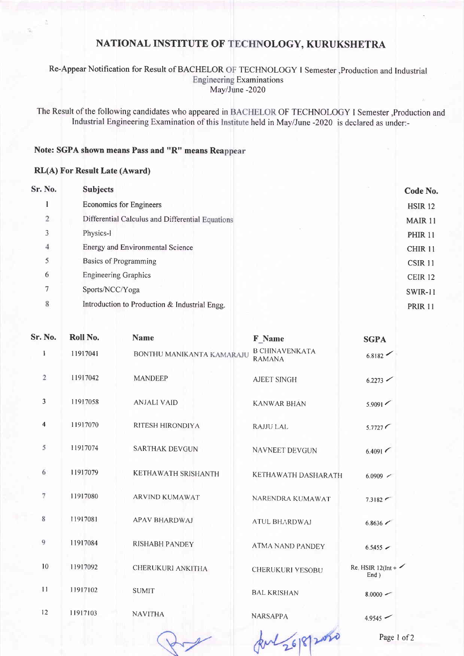## NATIONAL INSTITUTE OF TECHNOLOGY, KURUKSHETRA

#### Re-Appear Notification for Result of BACHELOR OF TECHNOLOGY I Semester , Production and Industrial **Engineering Examinations** May/June -2020

The Result of the following candidates who appeared in BACHELOR OF TECHNOLOGY I Semester ,Production and Industrial Engineering Examination of this Institute held in May/June -2020 is declared as under:-

### Note: SGPA shown means Pass and "R" means Reappear

### RL(A) For Result Late (Award)

| Sr. No.        | <b>Subjects</b>                                  | Code No.           |
|----------------|--------------------------------------------------|--------------------|
|                | <b>Economics for Engineers</b>                   | <b>HSIR 12</b>     |
| $\overline{2}$ | Differential Calculus and Differential Equations | MAIR 11            |
| 3              | Physics-I                                        | <b>PHIR 11</b>     |
| $\overline{4}$ | <b>Energy and Environmental Science</b>          | <b>CHIR 11</b>     |
| 5              | <b>Basics of Programming</b>                     | CSIR 11            |
| 6              | <b>Engineering Graphics</b>                      | CEIR <sub>12</sub> |
| 7              | Sports/NCC/Yoga                                  | <b>SWIR-11</b>     |
| $\,$ 8 $\,$    | Introduction to Production & Industrial Engg.    | <b>PRIR 11</b>     |

|                   | Sr. No.                 | Roll No. | <b>Name</b>               | F Name                                 | <b>SGPA</b>                            |
|-------------------|-------------------------|----------|---------------------------|----------------------------------------|----------------------------------------|
|                   | $\mathbf{1}$            | 11917041 | BONTHU MANIKANTA KAMARAJU | <b>B CHINAVENKATA</b><br><b>RAMANA</b> | 6.8182                                 |
| $\overline{2}$    |                         | 11917042 | <b>MANDEEP</b>            | <b>AJEET SINGH</b>                     | 6.2273                                 |
|                   | 3                       | 11917058 | <b>ANJALI VAID</b>        | <b>KANWAR BHAN</b>                     | 5.9091                                 |
|                   | $\overline{\mathbf{4}}$ | 11917070 | RITESH HIRONDIYA          | <b>RAJJU LAL</b>                       | 5.7727                                 |
| 5                 |                         | 11917074 | <b>SARTHAK DEVGUN</b>     | NAVNEET DEVGUN                         | 6.4091                                 |
| 6                 |                         | 11917079 | KETHAWATH SRISHANTH       | KETHAWATH DASHARATH                    | $6.0909$ $\sim$                        |
| $\overline{\tau}$ |                         | 11917080 | <b>ARVIND KUMAWAT</b>     | NARENDRA KUMAWAT                       | 7.3182                                 |
| 8                 |                         | 11917081 | <b>APAV BHARDWAJ</b>      | <b>ATUL BHARDWAJ</b>                   | 6.8636                                 |
| 9                 |                         | 11917084 | <b>RISHABH PANDEY</b>     | <b>ATMA NAND PANDEY</b>                | $6.5455$ $\sim$                        |
|                   | 10                      | 11917092 | CHERUKURI ANKITHA         | CHERUKURI YESOBU                       | Re. HSIR $12$ (Int + $\sim$<br>$End$ ) |
|                   | 11                      | 11917102 | <b>SUMIT</b>              | <b>BAL KRISHAN</b>                     | $8.0000 -$                             |
|                   | 12                      | 11917103 | <b>NAVITHA</b>            | <b>NARSAPPA</b>                        | 4.9545                                 |
|                   |                         |          |                           | 26/8/2020                              | Page 1                                 |
|                   |                         |          |                           |                                        |                                        |

Page 1 of 2